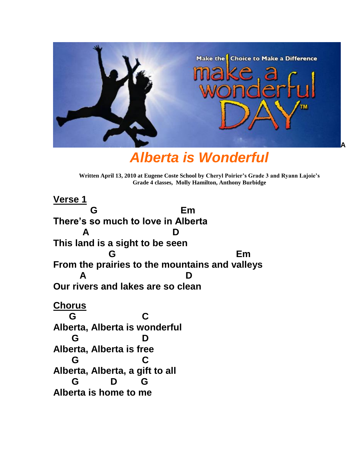

*Alberta is Wonderful*

**Written April 13, 2010 at Eugene Coste School by Cheryl Poirier's Grade 3 and Ryann Lajoie's Grade 4 classes, Molly Hamilton, Anthony Burbidge**

**Verse 1 G Em There's so much to love in Alberta A D This land is a sight to be seen G** Em **From the prairies to the mountains and valleys A D Our rivers and lakes are so clean Chorus G C Alberta, Alberta is wonderful G D Alberta, Alberta is free G C Alberta, Alberta, a gift to all G D G Alberta is home to me**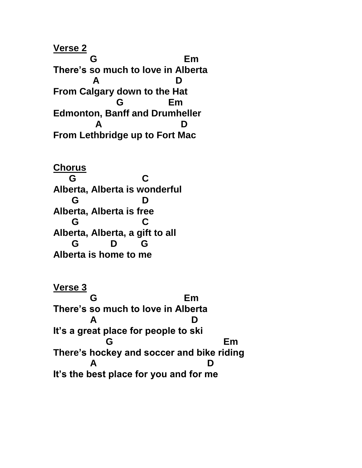**Verse 2 G** Em **There's so much to love in Alberta A D From Calgary down to the Hat G** Em **Edmonton, Banff and Drumheller A D From Lethbridge up to Fort Mac**

**Chorus G C Alberta, Alberta is wonderful G D Alberta, Alberta is free G C Alberta, Alberta, a gift to all G D G Alberta is home to me**

**Verse 3 G** Em **There's so much to love in Alberta A D It's a great place for people to ski G** Em **There's hockey and soccer and bike riding A D It's the best place for you and for me**